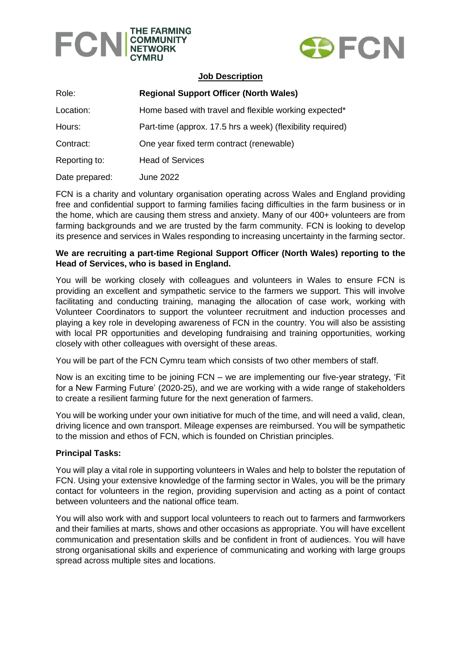



### **Job Description**

| Role:          | <b>Regional Support Officer (North Wales)</b>              |
|----------------|------------------------------------------------------------|
| Location:      | Home based with travel and flexible working expected*      |
| Hours:         | Part-time (approx. 17.5 hrs a week) (flexibility required) |
| Contract:      | One year fixed term contract (renewable)                   |
| Reporting to:  | <b>Head of Services</b>                                    |
| Date prepared: | June 2022                                                  |

FCN is a charity and voluntary organisation operating across Wales and England providing free and confidential support to farming families facing difficulties in the farm business or in the home, which are causing them stress and anxiety. Many of our 400+ volunteers are from farming backgrounds and we are trusted by the farm community. FCN is looking to develop its presence and services in Wales responding to increasing uncertainty in the farming sector.

## **We are recruiting a part-time Regional Support Officer (North Wales) reporting to the Head of Services, who is based in England.**

You will be working closely with colleagues and volunteers in Wales to ensure FCN is providing an excellent and sympathetic service to the farmers we support. This will involve facilitating and conducting training, managing the allocation of case work, working with Volunteer Coordinators to support the volunteer recruitment and induction processes and playing a key role in developing awareness of FCN in the country. You will also be assisting with local PR opportunities and developing fundraising and training opportunities, working closely with other colleagues with oversight of these areas.

You will be part of the FCN Cymru team which consists of two other members of staff.

Now is an exciting time to be joining FCN – we are implementing our five-year strategy, 'Fit for a New Farming Future' (2020-25), and we are working with a wide range of stakeholders to create a resilient farming future for the next generation of farmers.

You will be working under your own initiative for much of the time, and will need a valid, clean, driving licence and own transport. Mileage expenses are reimbursed. You will be sympathetic to the mission and ethos of FCN, which is founded on Christian principles.

### **Principal Tasks:**

You will play a vital role in supporting volunteers in Wales and help to bolster the reputation of FCN. Using your extensive knowledge of the farming sector in Wales, you will be the primary contact for volunteers in the region, providing supervision and acting as a point of contact between volunteers and the national office team.

You will also work with and support local volunteers to reach out to farmers and farmworkers and their families at marts, shows and other occasions as appropriate. You will have excellent communication and presentation skills and be confident in front of audiences. You will have strong organisational skills and experience of communicating and working with large groups spread across multiple sites and locations.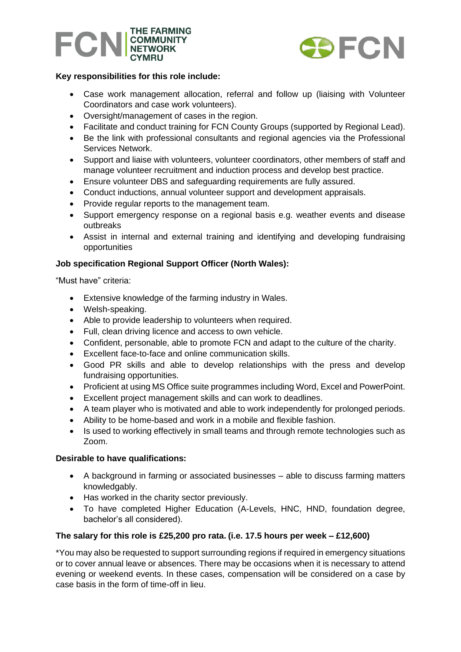



# **Key responsibilities for this role include:**

- Case work management allocation, referral and follow up (liaising with Volunteer Coordinators and case work volunteers).
- Oversight/management of cases in the region.
- Facilitate and conduct training for FCN County Groups (supported by Regional Lead).
- Be the link with professional consultants and regional agencies via the Professional Services Network.
- Support and liaise with volunteers, volunteer coordinators, other members of staff and manage volunteer recruitment and induction process and develop best practice.
- Ensure volunteer DBS and safeguarding requirements are fully assured.
- Conduct inductions, annual volunteer support and development appraisals.
- Provide regular reports to the management team.
- Support emergency response on a regional basis e.g. weather events and disease outbreaks
- Assist in internal and external training and identifying and developing fundraising opportunities

# **Job specification Regional Support Officer (North Wales):**

"Must have" criteria:

- Extensive knowledge of the farming industry in Wales.
- Welsh-speaking.
- Able to provide leadership to volunteers when required.
- Full, clean driving licence and access to own vehicle.
- Confident, personable, able to promote FCN and adapt to the culture of the charity.
- Excellent face-to-face and online communication skills.
- Good PR skills and able to develop relationships with the press and develop fundraising opportunities.
- Proficient at using MS Office suite programmes including Word, Excel and PowerPoint.
- Excellent project management skills and can work to deadlines.
- A team player who is motivated and able to work independently for prolonged periods.
- Ability to be home-based and work in a mobile and flexible fashion.
- Is used to working effectively in small teams and through remote technologies such as Zoom.

### **Desirable to have qualifications:**

- A background in farming or associated businesses able to discuss farming matters knowledgably.
- Has worked in the charity sector previously.
- To have completed Higher Education (A-Levels, HNC, HND, foundation degree, bachelor's all considered).

### **The salary for this role is £25,200 pro rata. (i.e. 17.5 hours per week – £12,600)**

\*You may also be requested to support surrounding regions if required in emergency situations or to cover annual leave or absences. There may be occasions when it is necessary to attend evening or weekend events. In these cases, compensation will be considered on a case by case basis in the form of time-off in lieu.